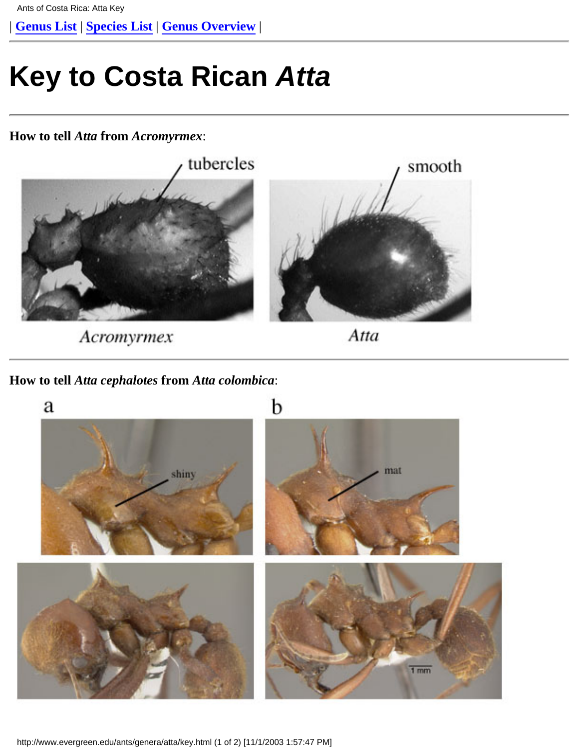<span id="page-0-0"></span>| **[Genus List](http://www.evergreen.edu/ants/Genera.html)** | **[Species List](http://www.evergreen.edu/ants/genera/atta/Specieslist.html)** | **[Genus Overview](http://www.evergreen.edu/ants/genera/atta/home.html)** |

## **Key to Costa Rican Atta**

**How to tell** *Atta* **from** *Acromyrmex*:



Acromyrmex

Atta

**How to tell** *Atta cephalotes* **from** *Atta colombica*:



http://www.evergreen.edu/ants/genera/atta/key.html (1 of 2) [11/1/2003 1:57:47 PM]